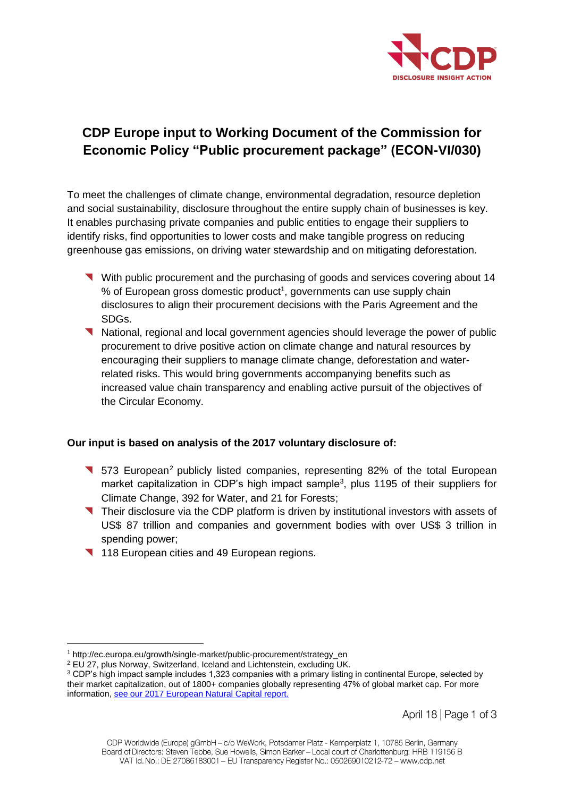

# **CDP Europe input to Working Document of the Commission for Economic Policy "Public procurement package" (ECON-VI/030)**

To meet the challenges of climate change, environmental degradation, resource depletion and social sustainability, disclosure throughout the entire supply chain of businesses is key. It enables purchasing private companies and public entities to engage their suppliers to identify risks, find opportunities to lower costs and make tangible progress on reducing greenhouse gas emissions, on driving water stewardship and on mitigating deforestation.

- With public procurement and the purchasing of goods and services covering about 14 % of European gross domestic product<sup>1</sup>, governments can use supply chain disclosures to align their procurement decisions with the Paris Agreement and the SDGs.
- National, regional and local government agencies should leverage the power of public procurement to drive positive action on climate change and natural resources by encouraging their suppliers to manage climate change, deforestation and waterrelated risks. This would bring governments accompanying benefits such as increased value chain transparency and enabling active pursuit of the objectives of the Circular Economy.

# **Our input is based on analysis of the 2017 voluntary disclosure of:**

- **573 European**<sup>2</sup> publicly listed companies, representing 82% of the total European market capitalization in CDP's high impact sample<sup>3</sup>, plus 1195 of their suppliers for Climate Change, 392 for Water, and 21 for Forests;
- Their disclosure via the CDP platform is driven by institutional investors with assets of US\$ 87 trillion and companies and government bodies with over US\$ 3 trillion in spending power;
- 118 European cities and 49 European regions.

 $\overline{a}$ 

<sup>1</sup> http://ec.europa.eu/growth/single-market/public-procurement/strategy\_en

<sup>2</sup> EU 27, plus Norway, Switzerland, Iceland and Lichtenstein, excluding UK.

<sup>&</sup>lt;sup>3</sup> CDP's high impact sample includes 1,323 companies with a primary listing in continental Europe, selected by their market capitalization, out of 1800+ companies globally representing 47% of global market cap. For more information[, see our 2017 European Natural Capital report.](http://www.cdp.net/europeanreport)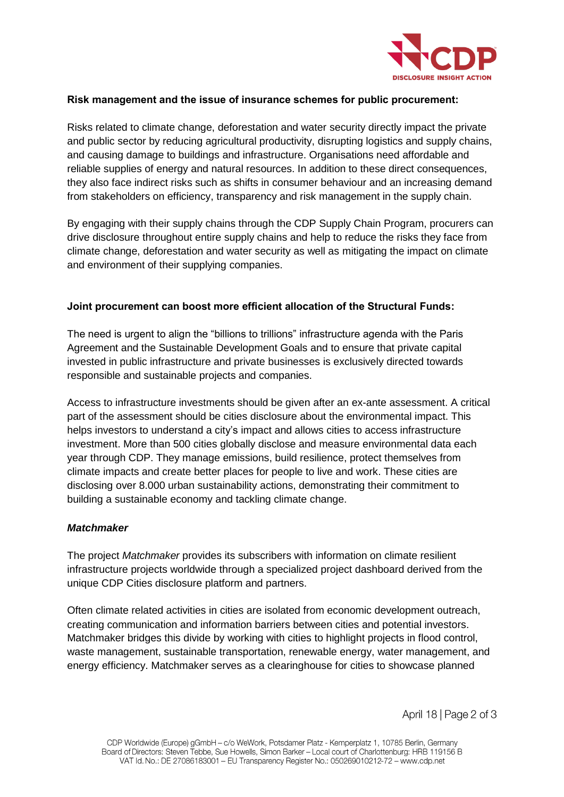

### **Risk management and the issue of insurance schemes for public procurement:**

Risks related to climate change, deforestation and water security directly impact the private and public sector by reducing agricultural productivity, disrupting logistics and supply chains, and causing damage to buildings and infrastructure. Organisations need affordable and reliable supplies of energy and natural resources. In addition to these direct consequences, they also face indirect risks such as shifts in consumer behaviour and an increasing demand from stakeholders on efficiency, transparency and risk management in the supply chain.

By engaging with their supply chains through the CDP Supply Chain Program, procurers can drive disclosure throughout entire supply chains and help to reduce the risks they face from climate change, deforestation and water security as well as mitigating the impact on climate and environment of their supplying companies.

# **Joint procurement can boost more efficient allocation of the Structural Funds:**

The need is urgent to align the "billions to trillions" infrastructure agenda with the Paris Agreement and the Sustainable Development Goals and to ensure that private capital invested in public infrastructure and private businesses is exclusively directed towards responsible and sustainable projects and companies.

Access to infrastructure investments should be given after an ex-ante assessment. A critical part of the assessment should be cities disclosure about the environmental impact. This helps investors to understand a city's impact and allows cities to access infrastructure investment. More than 500 cities globally disclose and measure environmental data each year through CDP. They manage emissions, build resilience, protect themselves from climate impacts and create better places for people to live and work. These cities are disclosing over 8.000 urban sustainability actions, demonstrating their commitment to building a sustainable economy and tackling climate change.

#### *Matchmaker*

The project *Matchmaker* provides its subscribers with information on climate resilient infrastructure projects worldwide through a specialized project dashboard derived from the unique CDP Cities disclosure platform and partners.

Often climate related activities in cities are isolated from economic development outreach, creating communication and information barriers between cities and potential investors. Matchmaker bridges this divide by working with cities to highlight projects in flood control, waste management, sustainable transportation, renewable energy, water management, and energy efficiency. Matchmaker serves as a clearinghouse for cities to showcase planned

April  $18$  | Page 2 of 3